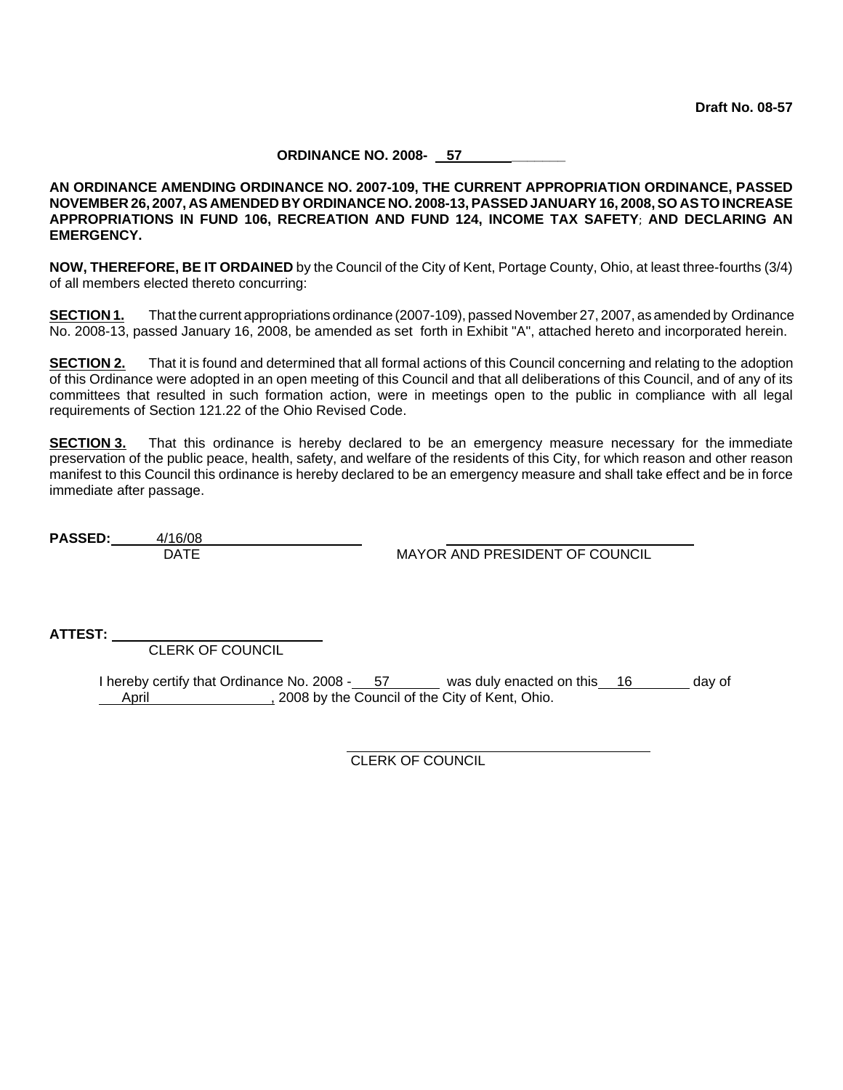#### **ORDINANCE NO. 2008- 57 \_\_\_\_\_\_\_**

**AN ORDINANCE AMENDING ORDINANCE NO. 2007-109, THE CURRENT APPROPRIATION ORDINANCE, PASSED NOVEMBER 26, 2007, AS AMENDED BY ORDINANCE NO. 2008-13, PASSED JANUARY 16, 2008, SO ASTO INCREASE APPROPRIATIONS IN FUND 106, RECREATION AND FUND 124, INCOME TAX SAFETY**; **AND DECLARING AN EMERGENCY.**

**NOW, THEREFORE, BE IT ORDAINED** by the Council of the City of Kent, Portage County, Ohio, at least three-fourths (3/4) of all members elected thereto concurring:

**SECTION 1.** That the current appropriations ordinance (2007-109), passed November 27, 2007, as amended by Ordinance No. 2008-13, passed January 16, 2008, be amended as set forth in Exhibit "A", attached hereto and incorporated herein.

**SECTION 2.** That it is found and determined that all formal actions of this Council concerning and relating to the adoption of this Ordinance were adopted in an open meeting of this Council and that all deliberations of this Council, and of any of its committees that resulted in such formation action, were in meetings open to the public in compliance with all legal requirements of Section 121.22 of the Ohio Revised Code.

**SECTION 3.** That this ordinance is hereby declared to be an emergency measure necessary for the immediate preservation of the public peace, health, safety, and welfare of the residents of this City, for which reason and other reason manifest to this Council this ordinance is hereby declared to be an emergency measure and shall take effect and be in force immediate after passage.

**PASSED:** 4/16/08

**MAYOR AND PRESIDENT OF COUNCIL** 

**ATTEST:** \_\_\_\_\_\_\_\_\_\_\_\_\_\_\_\_\_\_\_\_\_\_\_\_\_\_\_

CLERK OF COUNCIL

I hereby certify that Ordinance No. 2008 - 57 was duly enacted on this 16 day of April 2008 by the Council of the City of Kent, Ohio.

> CLERK OF COUNCIL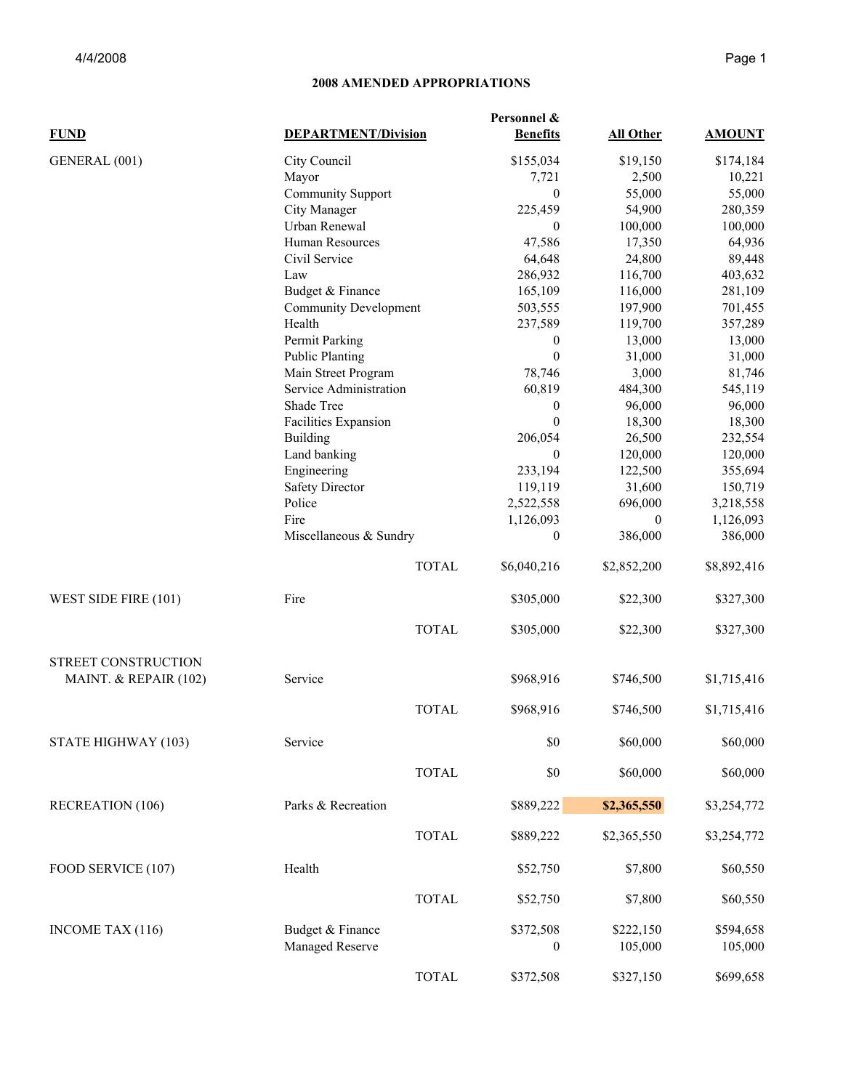## **2008 AMENDED APPROPRIATIONS**

| <b>FUND</b>             | <b>DEPARTMENT/Division</b>                    |              | Personnel &<br><b>Benefits</b> | All Other            | <b>AMOUNT</b>        |
|-------------------------|-----------------------------------------------|--------------|--------------------------------|----------------------|----------------------|
| GENERAL (001)           | City Council                                  |              | \$155,034                      | \$19,150             | \$174,184            |
|                         | Mayor                                         |              | 7,721                          | 2,500                | 10,221               |
|                         | <b>Community Support</b>                      |              | $\theta$                       | 55,000               | 55,000               |
|                         | City Manager                                  |              | 225,459                        | 54,900               | 280,359              |
|                         | Urban Renewal                                 |              | $\theta$                       | 100,000              | 100,000              |
|                         | Human Resources                               |              | 47,586                         | 17,350               | 64,936               |
|                         | Civil Service                                 |              | 64,648                         | 24,800               | 89,448               |
|                         | Law                                           |              | 286,932                        | 116,700              | 403,632              |
|                         | Budget & Finance                              |              | 165,109                        | 116,000              | 281,109              |
|                         | <b>Community Development</b>                  |              | 503,555                        | 197,900              | 701,455              |
|                         | Health                                        |              | 237,589                        | 119,700              | 357,289              |
|                         | Permit Parking                                |              | $\boldsymbol{0}$               | 13,000               | 13,000               |
|                         | <b>Public Planting</b>                        |              | $\mathbf{0}$                   | 31,000               | 31,000               |
|                         |                                               |              | 78,746                         | 3,000                | 81,746               |
|                         | Main Street Program<br>Service Administration |              | 60,819                         | 484,300              | 545,119              |
|                         |                                               |              | $\boldsymbol{0}$               | 96,000               | 96,000               |
|                         | Shade Tree                                    |              | $\theta$                       | 18,300               | 18,300               |
|                         | Facilities Expansion                          |              | 206,054                        | 26,500               |                      |
|                         | <b>Building</b>                               |              |                                |                      | 232,554              |
|                         | Land banking                                  |              | $\theta$                       | 120,000              | 120,000              |
|                         | Engineering                                   |              | 233,194                        | 122,500              | 355,694              |
|                         | <b>Safety Director</b>                        |              | 119,119                        | 31,600               | 150,719              |
|                         | Police                                        |              | 2,522,558                      | 696,000              | 3,218,558            |
|                         | Fire                                          |              | 1,126,093                      | $\theta$             | 1,126,093            |
|                         | Miscellaneous & Sundry                        |              | $\boldsymbol{0}$               | 386,000              | 386,000              |
|                         |                                               | <b>TOTAL</b> | \$6,040,216                    | \$2,852,200          | \$8,892,416          |
| WEST SIDE FIRE (101)    | Fire                                          |              | \$305,000                      | \$22,300             | \$327,300            |
|                         |                                               | <b>TOTAL</b> | \$305,000                      | \$22,300             | \$327,300            |
| STREET CONSTRUCTION     |                                               |              |                                |                      |                      |
| MAINT. & REPAIR (102)   | Service                                       |              | \$968,916                      | \$746,500            | \$1,715,416          |
|                         |                                               | <b>TOTAL</b> | \$968,916                      | \$746,500            | \$1,715,416          |
| STATE HIGHWAY (103)     | Service                                       |              | \$0                            | \$60,000             | \$60,000             |
|                         |                                               | <b>TOTAL</b> | \$0                            | \$60,000             | \$60,000             |
| <b>RECREATION (106)</b> | Parks & Recreation                            |              | \$889,222                      | \$2,365,550          | \$3,254,772          |
|                         |                                               | <b>TOTAL</b> | \$889,222                      | \$2,365,550          | \$3,254,772          |
| FOOD SERVICE (107)      | Health                                        |              | \$52,750                       | \$7,800              | \$60,550             |
|                         |                                               | <b>TOTAL</b> | \$52,750                       | \$7,800              | \$60,550             |
|                         |                                               |              |                                |                      |                      |
| INCOME TAX (116)        | Budget & Finance<br>Managed Reserve           |              | \$372,508<br>$\boldsymbol{0}$  | \$222,150<br>105,000 | \$594,658<br>105,000 |
|                         |                                               |              |                                |                      |                      |
|                         |                                               | <b>TOTAL</b> | \$372,508                      | \$327,150            | \$699,658            |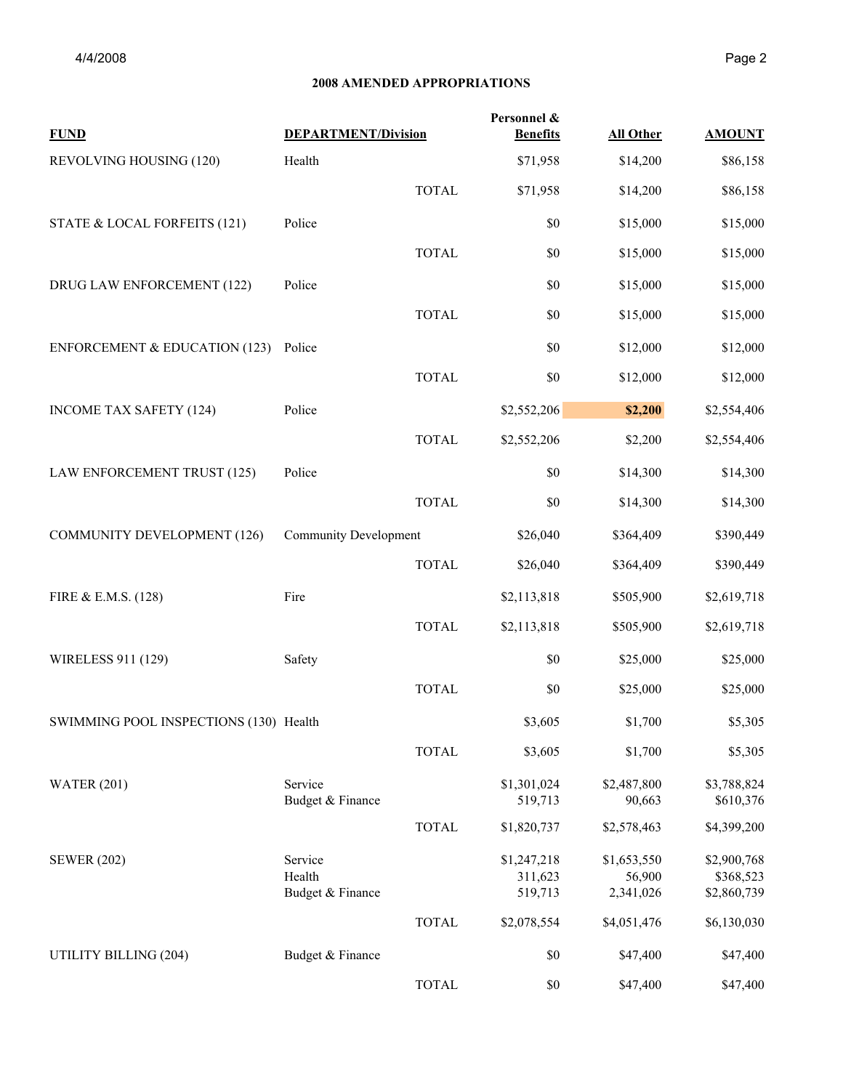### **2008 AMENDED APPROPRIATIONS**

| <b>FUND</b>                              | <b>DEPARTMENT/Division</b>            |              | Personnel &<br><b>Benefits</b>    | <b>All Other</b>                   | <b>AMOUNT</b>                           |
|------------------------------------------|---------------------------------------|--------------|-----------------------------------|------------------------------------|-----------------------------------------|
| REVOLVING HOUSING (120)                  | Health                                |              | \$71,958                          | \$14,200                           | \$86,158                                |
|                                          |                                       | <b>TOTAL</b> | \$71,958                          | \$14,200                           | \$86,158                                |
| STATE & LOCAL FORFEITS (121)             | Police                                |              | \$0                               | \$15,000                           | \$15,000                                |
|                                          |                                       | <b>TOTAL</b> | \$0                               | \$15,000                           | \$15,000                                |
| DRUG LAW ENFORCEMENT (122)               | Police                                |              | \$0                               | \$15,000                           | \$15,000                                |
|                                          |                                       | <b>TOTAL</b> | \$0                               | \$15,000                           | \$15,000                                |
| <b>ENFORCEMENT &amp; EDUCATION (123)</b> | Police                                |              | \$0                               | \$12,000                           | \$12,000                                |
|                                          |                                       | <b>TOTAL</b> | \$0                               | \$12,000                           | \$12,000                                |
| <b>INCOME TAX SAFETY (124)</b>           | Police                                |              | \$2,552,206                       | \$2,200                            | \$2,554,406                             |
|                                          |                                       | <b>TOTAL</b> | \$2,552,206                       | \$2,200                            | \$2,554,406                             |
| LAW ENFORCEMENT TRUST (125)              | Police                                |              | \$0                               | \$14,300                           | \$14,300                                |
|                                          |                                       | <b>TOTAL</b> | \$0                               | \$14,300                           | \$14,300                                |
| <b>COMMUNITY DEVELOPMENT (126)</b>       | <b>Community Development</b>          |              | \$26,040                          | \$364,409                          | \$390,449                               |
|                                          |                                       | <b>TOTAL</b> | \$26,040                          | \$364,409                          | \$390,449                               |
| FIRE & E.M.S. (128)                      | Fire                                  |              | \$2,113,818                       | \$505,900                          | \$2,619,718                             |
|                                          |                                       | <b>TOTAL</b> | \$2,113,818                       | \$505,900                          | \$2,619,718                             |
| WIRELESS 911 (129)                       | Safety                                |              | \$0                               | \$25,000                           | \$25,000                                |
|                                          |                                       | <b>TOTAL</b> | \$0                               | \$25,000                           | \$25,000                                |
| SWIMMING POOL INSPECTIONS (130) Health   |                                       |              | \$3,605                           | \$1,700                            | \$5,305                                 |
|                                          |                                       | <b>TOTAL</b> | \$3,605                           | \$1,700                            | \$5,305                                 |
| <b>WATER (201)</b>                       | Service<br>Budget & Finance           |              | \$1,301,024<br>519,713            | \$2,487,800<br>90,663              | \$3,788,824<br>\$610,376                |
|                                          |                                       | <b>TOTAL</b> | \$1,820,737                       | \$2,578,463                        | \$4,399,200                             |
| <b>SEWER (202)</b>                       | Service<br>Health<br>Budget & Finance |              | \$1,247,218<br>311,623<br>519,713 | \$1,653,550<br>56,900<br>2,341,026 | \$2,900,768<br>\$368,523<br>\$2,860,739 |
|                                          |                                       | <b>TOTAL</b> | \$2,078,554                       | \$4,051,476                        | \$6,130,030                             |
| UTILITY BILLING (204)                    | Budget & Finance                      |              | \$0                               | \$47,400                           | \$47,400                                |
|                                          |                                       | <b>TOTAL</b> | \$0                               | \$47,400                           | \$47,400                                |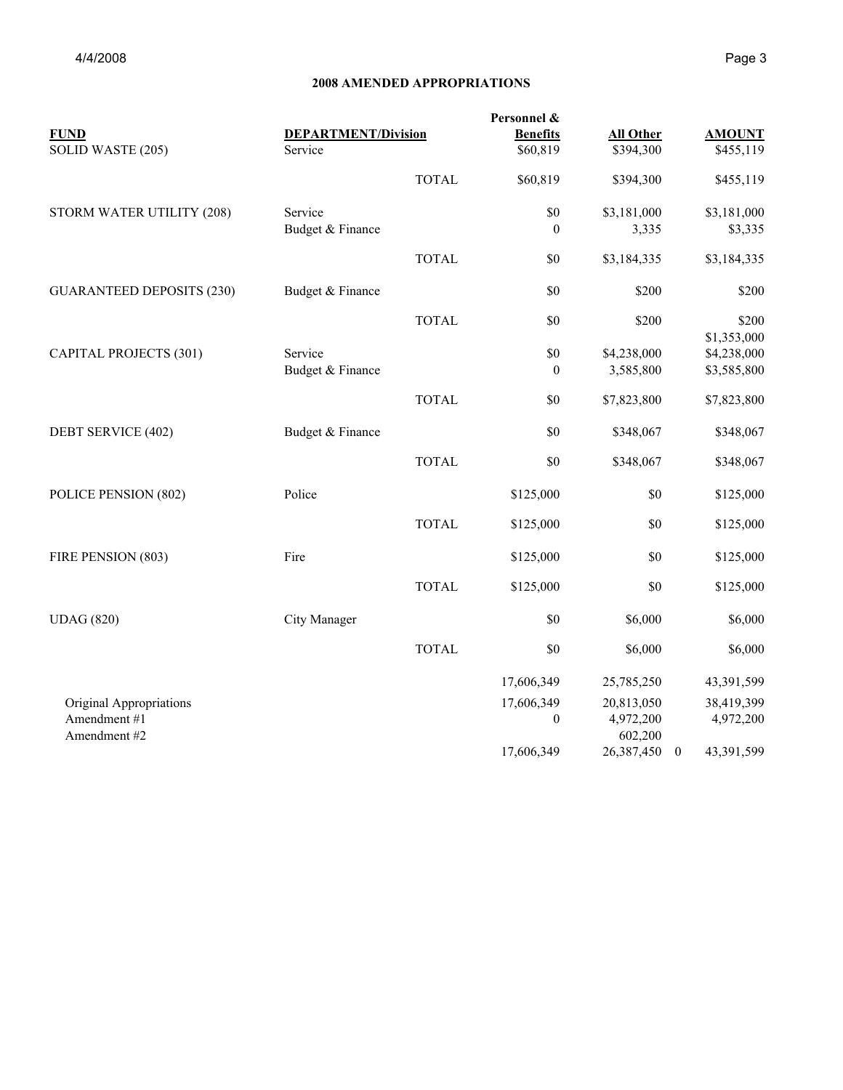### **2008 AMENDED APPROPRIATIONS**

|                                  |                            |              | Personnel &      |                      |              |               |
|----------------------------------|----------------------------|--------------|------------------|----------------------|--------------|---------------|
| <b>FUND</b>                      | <b>DEPARTMENT/Division</b> |              | <b>Benefits</b>  | <b>All Other</b>     |              | <b>AMOUNT</b> |
| SOLID WASTE (205)                | Service                    |              | \$60,819         | \$394,300            |              | \$455,119     |
|                                  |                            | <b>TOTAL</b> | \$60,819         | \$394,300            |              | \$455,119     |
| STORM WATER UTILITY (208)        | Service                    |              | $\$0$            | \$3,181,000          |              | \$3,181,000   |
|                                  | Budget & Finance           |              | $\theta$         | 3,335                |              | \$3,335       |
|                                  |                            | <b>TOTAL</b> | \$0              | \$3,184,335          |              | \$3,184,335   |
| <b>GUARANTEED DEPOSITS (230)</b> | Budget & Finance           |              | \$0              | \$200                |              | \$200         |
|                                  |                            | <b>TOTAL</b> | \$0              | \$200                |              | \$200         |
|                                  |                            |              |                  |                      |              | \$1,353,000   |
| <b>CAPITAL PROJECTS (301)</b>    | Service                    |              | $\$0$            | \$4,238,000          |              | \$4,238,000   |
|                                  | Budget & Finance           |              | $\mathbf{0}$     | 3,585,800            |              | \$3,585,800   |
|                                  |                            | <b>TOTAL</b> | \$0              | \$7,823,800          |              | \$7,823,800   |
| DEBT SERVICE (402)               | Budget & Finance           |              | \$0              | \$348,067            |              | \$348,067     |
|                                  |                            | <b>TOTAL</b> | \$0              | \$348,067            |              | \$348,067     |
| POLICE PENSION (802)             | Police                     |              | \$125,000        | \$0                  |              | \$125,000     |
|                                  |                            | <b>TOTAL</b> | \$125,000        | \$0                  |              | \$125,000     |
| FIRE PENSION (803)               | Fire                       |              | \$125,000        | \$0                  |              | \$125,000     |
|                                  |                            | <b>TOTAL</b> | \$125,000        | \$0                  |              | \$125,000     |
| <b>UDAG</b> (820)                | City Manager               |              | \$0              | \$6,000              |              | \$6,000       |
|                                  |                            | <b>TOTAL</b> | \$0              | \$6,000              |              | \$6,000       |
|                                  |                            |              | 17,606,349       | 25,785,250           |              | 43,391,599    |
| Original Appropriations          |                            |              | 17,606,349       | 20,813,050           |              | 38,419,399    |
| Amendment #1<br>Amendment #2     |                            |              | $\boldsymbol{0}$ | 4,972,200<br>602,200 |              | 4,972,200     |
|                                  |                            |              | 17,606,349       | 26,387,450           | $\mathbf{0}$ | 43,391,599    |